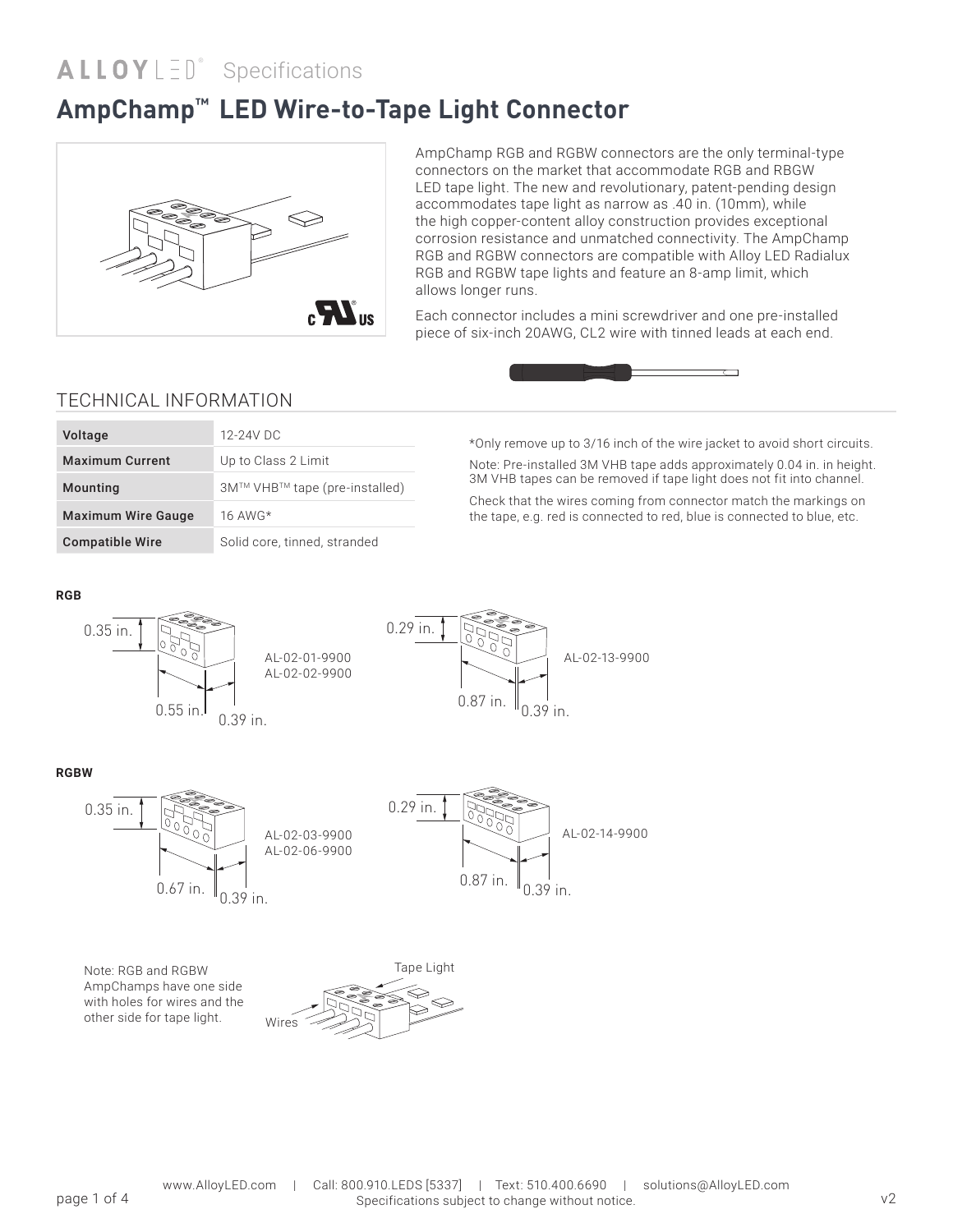## **AmpChamp™ LED Wire-to-Tape Light Connector**



AmpChamp RGB and RGBW connectors are the only terminal-type connectors on the market that accommodate RGB and RBGW LED tape light. The new and revolutionary, patent-pending design accommodates tape light as narrow as .40 in. (10mm), while the high copper-content alloy construction provides exceptional corrosion resistance and unmatched connectivity. The AmpChamp RGB and RGBW connectors are compatible with Alloy LED Radialux RGB and RGBW tape lights and feature an 8-amp limit, which allows longer runs.

Each connector includes a mini screwdriver and one pre-installed piece of six-inch 20AWG, CL2 wire with tinned leads at each end.



### TECHNICAL INFORMATION

| <b>Maximum Current</b><br>Up to Class 2 Limit          |
|--------------------------------------------------------|
|                                                        |
| 3M™ VHB™ tape (pre-installed)<br>Mounting              |
| <b>Maximum Wire Gauge</b><br>16 AWG $*$                |
| Solid core, tinned, stranded<br><b>Compatible Wire</b> |

\*Only remove up to 3/16 inch of the wire jacket to avoid short circuits. Note: Pre-installed 3M VHB tape adds approximately 0.04 in. in height. 3M VHB tapes can be removed if tape light does not fit into channel.

Check that the wires coming from connector match the markings on the tape, e.g. red is connected to red, blue is connected to blue, etc.

#### **RGB**





#### **RGBW**



Note: RGB and RGBW AmpChamps have one side with holes for wires and the other side for tape light.

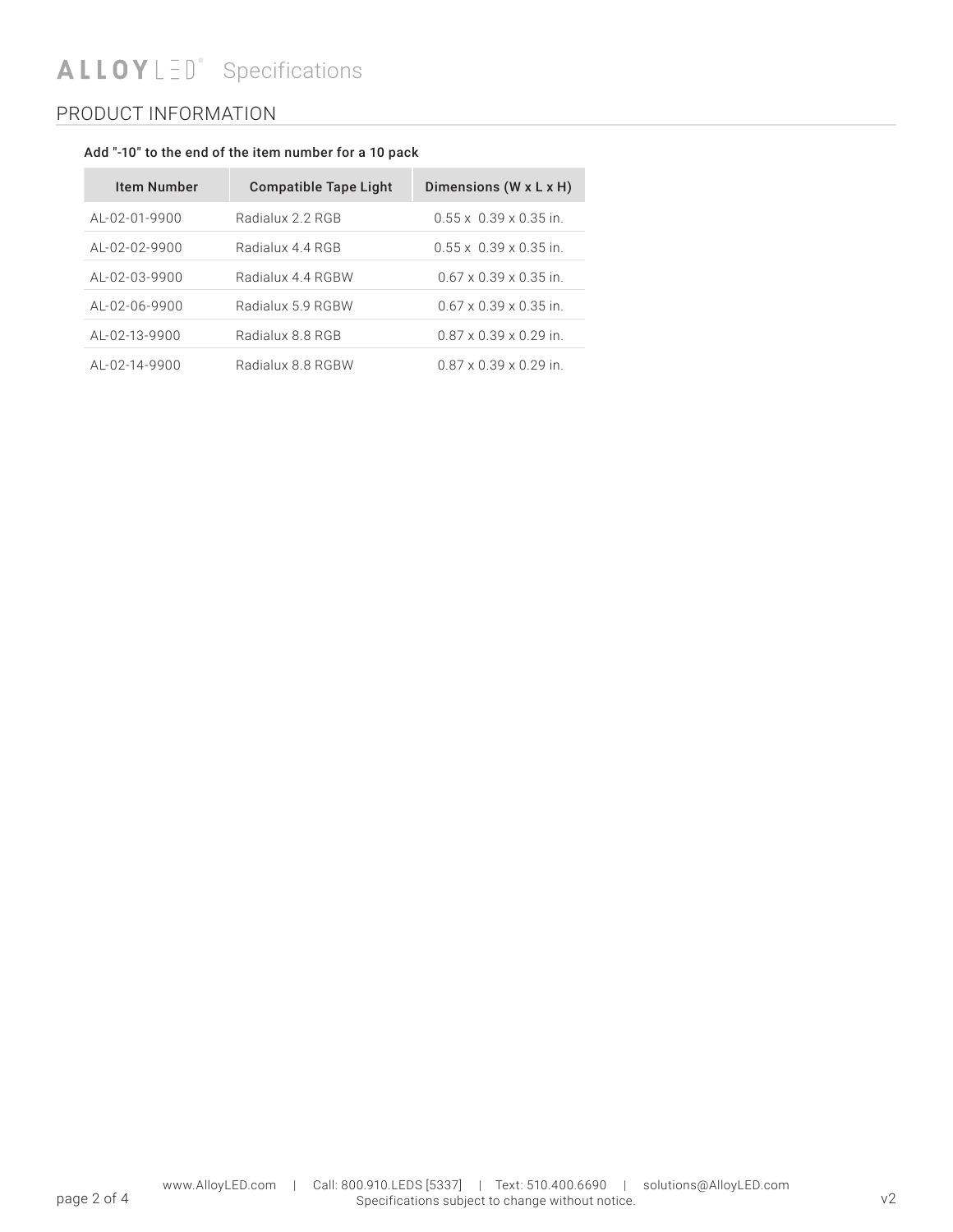# **Specifications**

## PRODUCT INFORMATION

#### Add "-10" to the end of the item number for a 10 pack

| <b>Item Number</b> | <b>Compatible Tape Light</b> | Dimensions $(W \times L \times H)$ |
|--------------------|------------------------------|------------------------------------|
| AL-02-01-9900      | Radialux 2.2 RGB             | $0.55 \times 0.39 \times 0.35$ in  |
| AL-02-02-9900      | Radialux 4 4 RGB             | $0.55 \times 0.39 \times 0.35$ in  |
| AL-02-03-9900      | Radialux 4.4 RGBW            | $0.67 \times 0.39 \times 0.35$ in. |
| AL-02-06-9900      | Radialux 5.9 RGBW            | $0.67 \times 0.39 \times 0.35$ in  |
| AL-02-13-9900      | Radialux 8.8 RGB             | $0.87 \times 0.39 \times 0.29$ in. |
| AL-02-14-9900      | Radialux 8.8 RGBW            | $0.87 \times 0.39 \times 0.29$ in. |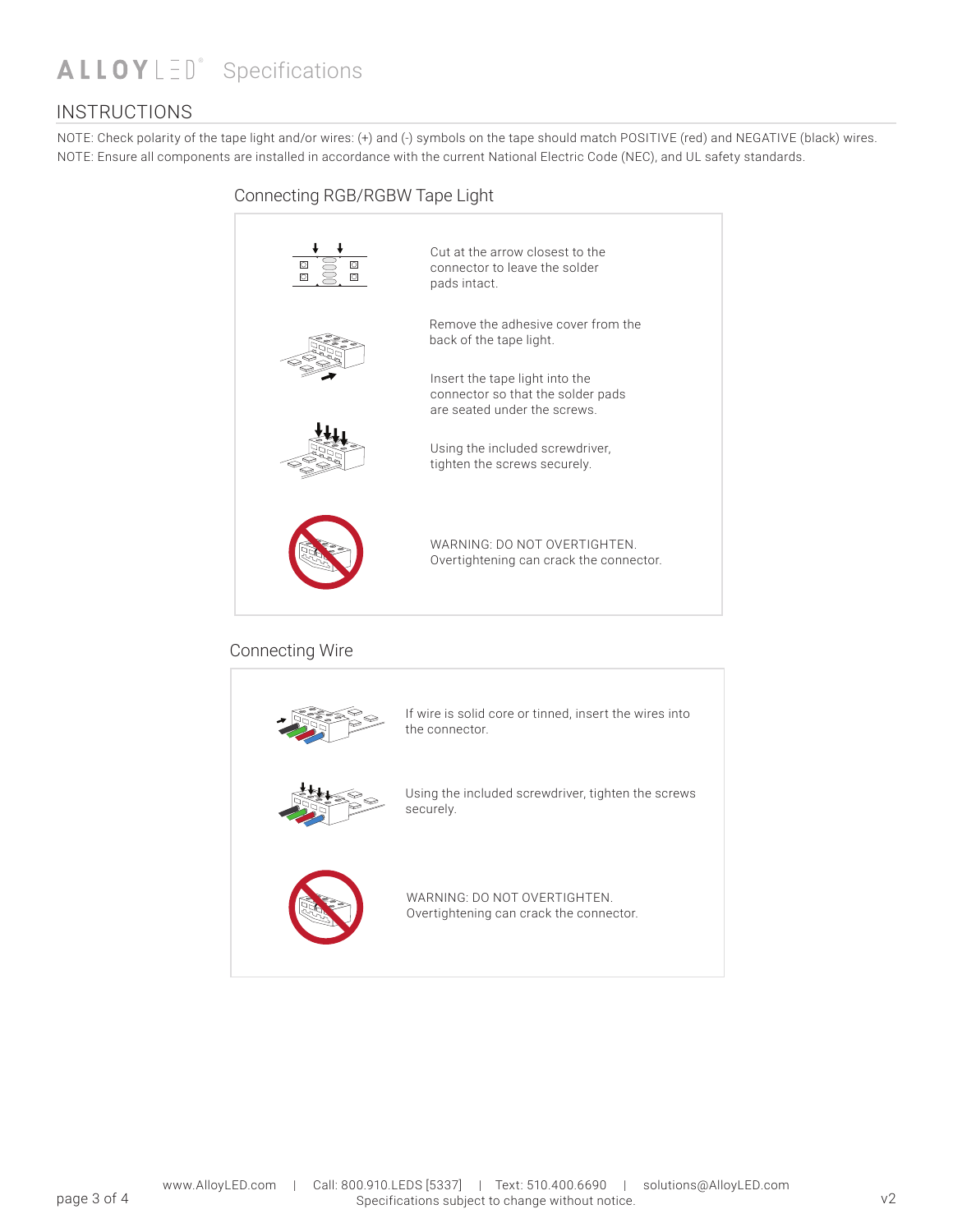## **Specifications**

### **INSTRUCTIONS**

NOTE: Check polarity of the tape light and/or wires: (+) and (-) symbols on the tape should match POSITIVE (red) and NEGATIVE (black) wires. NOTE: Ensure all components are installed in accordance with the current National Electric Code (NEC), and UL safety standards.





securely.



WARNING: DO NOT OVERTIGHTEN. Overtightening can crack the connector.